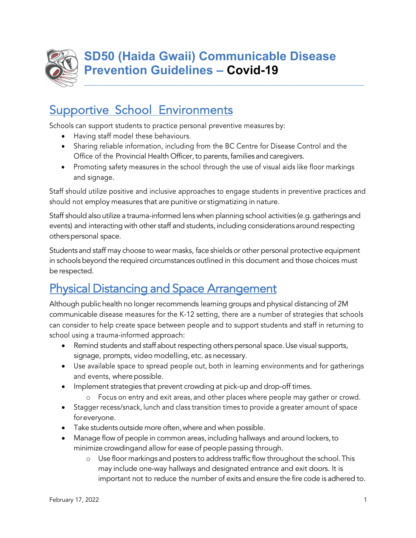

\_\_\_\_\_\_\_\_\_\_\_\_\_\_\_\_\_\_\_\_\_\_\_\_\_\_\_\_\_\_\_\_\_\_\_\_\_\_\_\_\_\_\_\_\_\_\_\_\_\_\_\_\_\_\_\_\_\_\_\_\_\_\_\_\_\_\_\_\_\_\_\_\_\_\_

# **Supportive School Environments**

Schools can support students to practice personal preventive measures by:

- Having staff model these behaviours.
- Sharing reliable information, including from the BC Centre for Disease Control and the Office of the Provincial Health Officer, to parents, families and caregivers.
- Promoting safety measures in the school through the use of visual aids like floor markings and signage.

Staff should utilize positive and inclusive approaches to engage students in preventive practices and should not employ measures that are punitive or stigmatizing in nature.

Staff should also utilize a trauma-informed lens when planning school activities (e.g. gatherings and events) and interacting with other staff and students,including considerations around respecting otherspersonal space.

Students and staff may choose to wear masks, face shields or other personal protective equipment in schools beyond the required circumstances outlined in this document and those choices must be respected.

# Physical Distancing and Space Arrangement

Although public health no longer recommends learning groups and physical distancing of 2M communicable disease measures for the K-12 setting, there are a number of strategies that schools can consider to help create space between people and to support students and staff in returning to school using a trauma-informed approach:

- Remind students and staff about respecting others personal space. Use visual supports, signage, prompts, video modelling, etc. as necessary.
- Use available space to spread people out, both in learning environments and for gatherings and events, where possible.
- Implement strategies that prevent crowding at pick-up and drop-off times.
	- o Focus on entry and exit areas, and other places where people may gather or crowd.
- Stagger recess/snack, lunch and class transition times to provide a greater amount of space for everyone.
- Take students outside more often,where and when possible.
- Manage flow of people in common areas, including hallways and around lockers, to minimize crowdingand allow for ease of people passing through.
	- o Use floor markings and posters to address traffic flow throughout the school.This may include one-way hallways and designated entrance and exit doors. It is important not to reduce the number of exits and ensure the fire code is adhered to.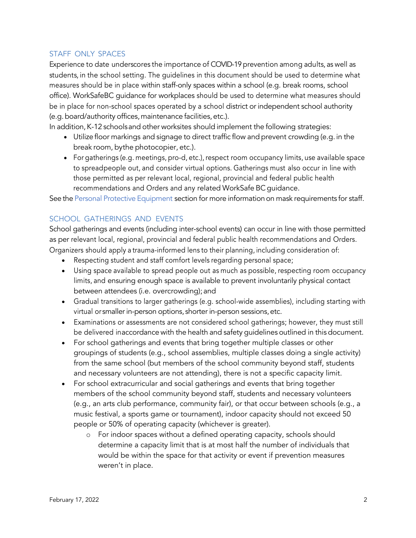### STAFF ONLY SPACES

Experience to date underscores the importance of COVID-19 prevention among adults, as well as students, in the school setting. The guidelines in this document should be used to determine what measures should be in place within staff-only spaces within a school (e.g. break rooms, school office). WorkSafeBC guidance for workplaces should be used to determine what measures should be in place for non-school spaces operated by a school district or independent school authority (e.g.board/authority offices,maintenance facilities, etc.).

In addition, K-12 schools and other worksites should implement the following strategies:

- Utilize floor markings and signage to direct traffic flow and prevent crowding (e.g. in the break room, bythe photocopier, etc.).
- For gatherings (e.g. meetings, pro-d, etc.), respect room occupancy limits, use available space to spreadpeople out, and consider virtual options. Gatherings must also occur in line with those permitted as per relevant local, regional, provincial and federal public health recommendations and Orders and any related WorkSafe BC guidance.

See the Personal Protective Equipment section for more information on mask requirements for staff.

### SCHOOL GATHERINGS AND EVENTS

School gatherings and events (including inter-school events) can occur in line with those permitted as per relevant local, regional, provincial and federal public health recommendations and Orders. Organizers should apply a trauma-informed lens to their planning, including consideration of:

- Respecting student and staff comfort levels regarding personal space;
- Using space available to spread people out as much as possible, respecting room occupancy limits, and ensuring enough space is available to prevent involuntarily physical contact between attendees (i.e. overcrowding); and
- Gradual transitions to larger gatherings (e.g. school-wide assemblies), including starting with virtual or smaller in-person options, shorter in-person sessions, etc.
- Examinations or assessments are not considered school gatherings; however, they must still be delivered inaccordance with the health and safety guidelines outlined in this document.
- For school gatherings and events that bring together multiple classes or other groupings of students (e.g., school assemblies, multiple classes doing a single activity) from the same school (but members of the school community beyond staff, students and necessary volunteers are not attending), there is not a specific capacity limit.
- For school extracurricular and social gatherings and events that bring together members of the school community beyond staff, students and necessary volunteers (e.g., an arts club performance, community fair), or that occur between schools (e.g., a music festival, a sports game or tournament), indoor capacity should not exceed 50 people or 50% of operating capacity (whichever is greater).
	- o For indoor spaces without a defined operating capacity, schools should determine a capacity limit that is at most half the number of individuals that would be within the space for that activity or event if prevention measures weren't in place.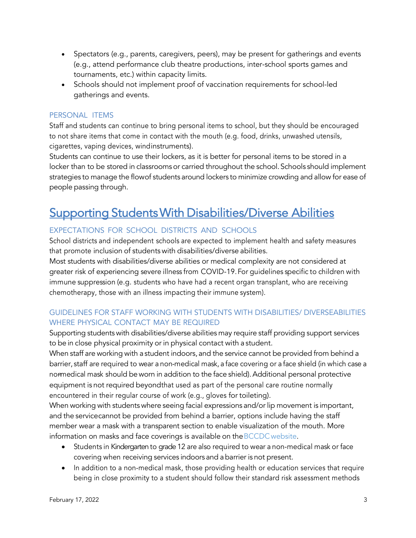- Spectators (e.g., parents, caregivers, peers), may be present for gatherings and events (e.g., attend performance club theatre productions, inter-school sports games and tournaments, etc.) within capacity limits.
- Schools should not implement proof of vaccination requirements for school-led gatherings and events.

### PERSONAL ITEMS

Staff and students can continue to bring personal items to school, but they should be encouraged to not share items that come in contact with the mouth (e.g. food, drinks, unwashed utensils, cigarettes, vaping devices, windinstruments).

Students can continue to use their lockers, as it is better for personal items to be stored in a locker than to be stored in classrooms or carried throughout the school. Schools should implement strategies to manage the flowof students around lockers to minimize crowding and allow for ease of people passing through.

# Supporting Students With Disabilities/Diverse Abilities

## EXPECTATIONS FOR SCHOOL DISTRICTS AND SCHOOLS

School districts and independent schools are expected to implement health and safety measures that promote inclusion of students with disabilities/diverse abilities.

Most students with disabilities/diverse abilities or medical complexity are not considered at greater risk of experiencing severe illness from COVID-19.For guidelines specific to children with immune suppression (e.g. students who have had a recent organ transplant, who are receiving chemotherapy, those with an illness impacting their immune system).

## GUIDELINES FOR STAFF WORKING WITH STUDENTS WITH DISABILITIES/ DIVERSEABILITIES WHERE PHYSICAL CONTACT MAY BE REQUIRED

Supporting students with disabilities/diverse abilities may require staff providing support services to be in close physical proximity or in physical contact with a student.

When staff are working with a student indoors, and the service cannot be provided from behind a barrier, staff are required to wear a non-medical mask, a face covering or a face shield (in which case a normedical mask should be worn in addition to the face shield). Additional personal protective equipment is not required beyondthat used as part of the personal care routine normally encountered in their regular course of work (e.g., gloves for toileting).

When working with students where seeing facial expressions and/or lip movement is important, and the servicecannot be provided from behind a barrier, options include having the staff member wear a mask with a transparent section to enable visualization of the mouth. More information on masks and face coverings is available on theBCCDCwebsite.

- Students in Kindergarten to grade 12 are also required to wear a non-medical mask or face covering when receiving services indoors and abarrier is not present.
- In addition to a non-medical mask, those providing health or education services that require being in close proximity to a student should follow their standard risk assessment methods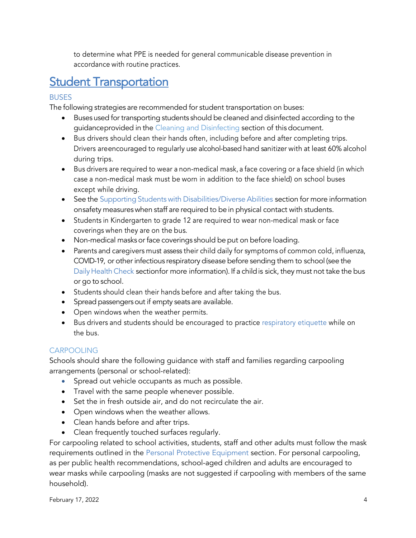to determine what PPE is needed for general communicable disease prevention in accordance with routine practices.

# **Student Transportation**

### BUSES

The following strategies are recommended for student transportation on buses:

- Buses used for transporting students should be cleaned and disinfected according to the guidanceprovided in the Cleaning and Disinfecting section of this document.
- Bus drivers should clean their hands often, including before and after completing trips. Drivers areencouraged to regularly use alcohol-based hand sanitizer with at least 60% alcohol during trips.
- Bus drivers are required to wear a non-medical mask, a face covering or a face shield (in which case a non-medical mask must be worn in addition to the face shield) on school buses except while driving.
- See the Supporting Students with Disabilities/Diverse Abilities section for more information onsafety measures when staff are required to be in physical contact with students.
- Students in Kindergarten to grade 12 are required to wear non-medical mask or face coverings when they are on the bus.
- Non-medical masks or face coverings should be put on before loading.
- Parents and caregivers must assess their child daily for symptoms of common cold, influenza, COVID-19, or other infectious respiratory disease before sending them to school (see the Daily Health Check sectionfor more information). If a child is sick, they must not take the bus or go to school.
- Students should clean their hands before and after taking the bus.
- Spread passengers out if empty seats are available.
- Open windows when the weather permits.
- Bus drivers and students should be encouraged to practice respiratory etiquette while on the bus.

### CARPOOLING

Schools should share the following guidance with staff and families regarding carpooling arrangements (personal or school-related):

- Spread out vehicle occupants as much as possible.
- Travel with the same people whenever possible.
- Set the in fresh outside air, and do not recirculate the air.
- Open windows when the weather allows.
- Clean hands before and after trips.
- Clean frequently touched surfaces regularly.

For carpooling related to school activities, students, staff and other adults must follow the mask requirements outlined in the Personal Protective Equipment section. For personal carpooling, as per public health recommendations, school-aged children and adults are encouraged to wear masks while carpooling (masks are not suggested if carpooling with members of the same household).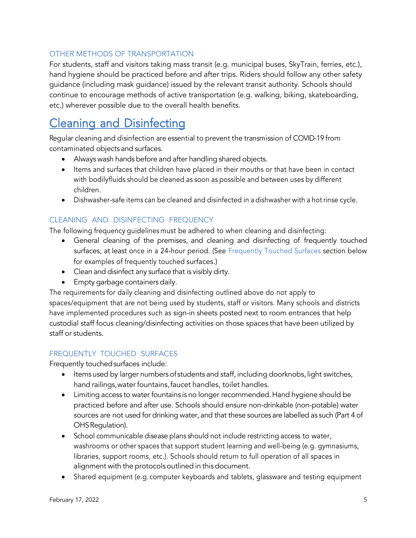### OTHER METHODS OF TRANSPORTATION

For students, staff and visitors taking mass transit (e.g. municipal buses, SkyTrain, ferries, etc.), hand hygiene should be practiced before and after trips. Riders should follow any other safety guidance (including mask guidance) issued by the relevant transit authority. Schools should continue to encourage methods of active transportation (e.g. walking, biking, skateboarding, etc.) wherever possible due to the overall health benefits.

# Cleaning and Disinfecting

Regular cleaning and disinfection are essential to prevent the transmission of COVID-19 from contaminated objects and surfaces.

- Always wash hands before and after handling shared objects.
- Items and surfaces that children have placed in their mouths or that have been in contact with bodilyfluids should be cleaned as soon as possible and between uses by different children.
- Dishwasher-safe items can be cleaned and disinfected in a dishwasher with a hot rinse cycle.

## CLEANING AND DISINFECTING FREQUENCY

The following frequency guidelines must be adhered to when cleaning and disinfecting:

- General cleaning of the premises, and cleaning and disinfecting of frequently touched surfaces, at least once in a 24-hour period. (See Frequently Touched Surfaces section below for examples of frequently touched surfaces.)
- Clean and disinfect any surface that is visibly dirty.
- Empty garbage containers daily.

The requirements for daily cleaning and disinfecting outlined above do not apply to spaces/equipment that are not being used by students, staff or visitors. Many schools and districts have implemented procedures such as sign-in sheets posted next to room entrances that help custodial staff focus cleaning/disinfecting activities on those spaces that have been utilized by staff or students.

### FREQUENTLY TOUCHED SURFACES

Frequently touched surfaces include:

- Items used by larger numbers of students and staff, including doorknobs, light switches, hand railings,water fountains,faucet handles, toilet handles.
- Limiting access to water fountains is no longer recommended.Hand hygiene should be practiced before and after use. Schools should ensure non-drinkable (non-potable) water sources are not used for drinking water, and that these sources are labelled as such (Part 4 of OHS Regulation).
- School communicable disease plans should not include restricting access to water, washrooms or other spaces that support student learning and well-being (e.g. gymnasiums, libraries, support rooms, etc.). Schools should return to full operation of all spaces in alignment with the protocolsoutlined in thisdocument.
- Shared equipment (e.g. computer keyboards and tablets, glassware and testing equipment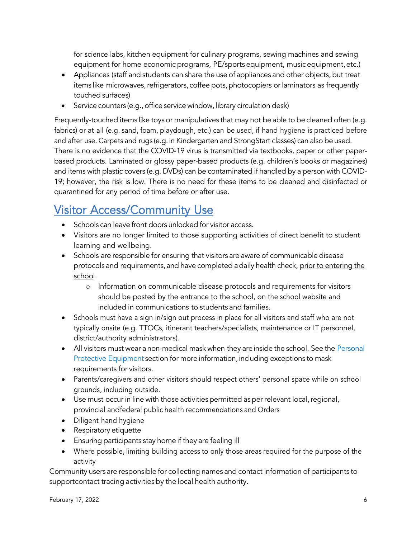for science labs, kitchen equipment for culinary programs, sewing machines and sewing equipment for home economic programs, PE/sports equipment, music equipment,etc.)

- Appliances (staff and students can share the use of appliances and other objects, but treat items like microwaves, refrigerators, coffee pots, photocopiers or laminators as frequently touched surfaces)
- Service counters (e.g., office service window, library circulation desk)

Frequently-touched items like toys or manipulatives that may not be able to be cleaned often (e.g. fabrics) or at all (e.g. sand, foam, playdough, etc.) can be used, if hand hygiene is practiced before and after use. Carpets and rugs (e.g.in Kindergarten and StrongStart classes) can also be used. There is no evidence that the COVID-19 virus is transmitted via textbooks, paper or other paperbased products. Laminated or glossy paper-based products (e.g. children's books or magazines) and items with plastic covers (e.g. DVDs) can be contaminated if handled by a person with COVID-19; however, the risk is low. There is no need for these items to be cleaned and disinfected or quarantined for any period of time before or after use.

# Visitor Access/Community Use

- Schools can leave front doors unlocked for visitor access.
- Visitors are no longer limited to those supporting activities of direct benefit to student learning and wellbeing.
- Schools are responsible for ensuring that visitors are aware of communicable disease protocols and requirements, and have completed adaily health check, prior to entering the school.
	- o Information on communicable disease protocols and requirements for visitors should be posted by the entrance to the school, on the school website and included in communications to students and families.
- Schools must have a sign in/sign out process in place for all visitors and staff who are not typically onsite (e.g. TTOCs, itinerant teachers/specialists, maintenance or IT personnel, district/authority administrators).
- All visitors must wear a non-medical mask when they are inside the school. See the Personal Protective Equipment section for more information, including exceptions to mask requirements for visitors.
- Parents/caregivers and other visitors should respect others' personal space while on school grounds, including outside.
- Use must occur in line with those activities permitted as per relevant local, regional, provincial andfederal public health recommendations and Orders
- Diligent hand hygiene
- Respiratory etiquette
- Ensuring participants stay home if they are feeling ill
- Where possible, limiting building access to only those areas required for the purpose of the activity

Community users are responsible for collecting names and contact information of participants to supportcontact tracing activities by the local health authority.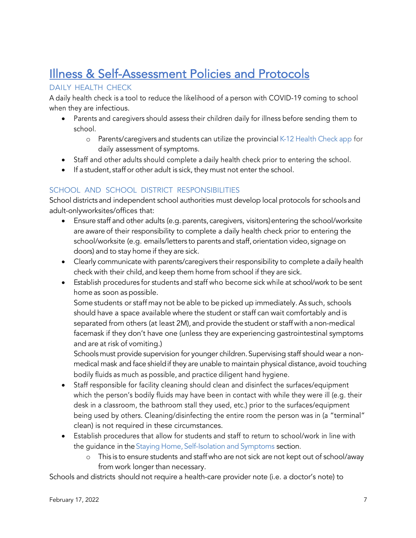# Illness & Self-Assessment Policies and Protocols

### DAILY HEALTH CHECK

A daily health check is a tool to reduce the likelihood of a person with COVID-19 coming to school when they are infectious.

- Parents and caregivers should assess their children daily for illness before sending them to school.
	- o Parents/caregivers and students can utilize the provincial K-12 Health Check app for daily assessment of symptoms.
- Staff and other adults should complete a daily health check prior to entering the school.
- If a student, staff or other adult is sick, they must not enter the school.

## SCHOOL AND SCHOOL DISTRICT RESPONSIBILITIES

School districts and independent school authorities must develop local protocols for schools and adult-onlyworksites/offices that:

- Ensure staff and other adults (e.g. parents, caregivers, visitors) entering the school/worksite are aware of their responsibility to complete a daily health check prior to entering the school/worksite (e.g. emails/letters to parents and staff, orientation video, signage on doors) and to stay home if they are sick.
- Clearly communicate with parents/caregivers their responsibility to complete adaily health check with their child, and keep them home from school if they are sick.
- Establish procedures for students and staff who become sick while at school/work to be sent home as soon as possible.

Some students or staff may not be able to be picked up immediately. As such, schools should have a space available where the student or staff can wait comfortably and is separated from others (at least 2M), and provide the student or staff with a non-medical facemask if they don't have one (unless they are experiencing gastrointestinal symptoms and are at risk of vomiting.)

Schools must provide supervision for younger children. Supervising staff should wear a nonmedical mask and face shieldif they are unable to maintain physical distance, avoid touching bodily fluids as much as possible, and practice diligent hand hygiene.

- Staff responsible for facility cleaning should clean and disinfect the surfaces/equipment which the person's bodily fluids may have been in contact with while they were ill (e.g. their desk in a classroom, the bathroom stall they used, etc.) prior to the surfaces/equipment being used by others. Cleaning/disinfecting the entire room the person was in (a "terminal" clean) is not required in these circumstances.
- Establish procedures that allow for students and staff to return to school/work in line with the guidance in the Staying Home, Self-Isolation and Symptoms section.
	- o This is to ensure students and staff who are not sick are not kept out of school/away from work longer than necessary.

Schools and districts should not require a health-care provider note (i.e. a doctor's note) to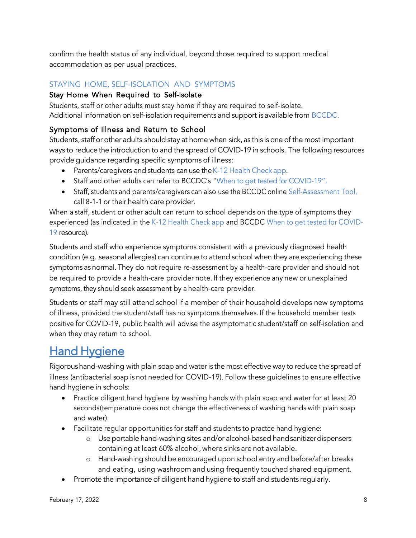confirm the health status of any individual, beyond those required to support medical accommodation as per usual practices.

### STAYING HOME, SELF-ISOLATION AND SYMPTOMS

### Stay Home When Required to Self-Isolate

Students, staff or other adults must stay home if they are required to self-isolate. Additional information on self-isolation requirements and support is available from BCCDC.

### Symptoms of Illness and Return to School

Students, staff or other adults should stay at home when sick, as this is one of the most important ways to reduce the introduction to and the spread of COVID-19 in schools. The following resources provide guidance regarding specific symptoms of illness:

- Parents/caregivers and students can use the K-12 Health Check app.
- Staff and other adults can refer to BCCDC's "When to get tested for COVID-19".
- Staff, students and parents/caregivers can also use the BCCDC online Self-Assessment Tool, call 8-1-1 or their health care provider.

When a staff, student or other adult can return to school depends on the type of symptoms they experienced (as indicated in the K-12 Health Check app and BCCDC When to get tested for COVID-19 resource).

Students and staff who experience symptoms consistent with a previously diagnosed health condition (e.g. seasonal allergies) can continue to attend school when they are experiencing these symptoms as normal.They do not require re-assessment by a health-care provider and should not be required to provide a health-care provider note. If they experience any new or unexplained symptoms, they should seek assessment by a health-care provider.

Students or staff may still attend school if a member of their household develops new symptoms of illness, provided the student/staff has no symptoms themselves. If the household member tests positive for COVID-19, public health will advise the asymptomatic student/staff on self-isolation and when they may return to school.

# **Hand Hygiene**

Rigoroushand-washing with plain soap and water is the most effective way to reduce the spread of illness (antibacterial soap is not needed for COVID-19). Follow these guidelines to ensure effective hand hygiene in schools:

- Practice diligent hand hygiene by washing hands with plain soap and water for at least 20 seconds(temperature does not change the effectiveness of washing hands with plain soap and water).
- Facilitate regular opportunities for staff and students to practice hand hygiene:
	- o Use portable hand-washing sites and/or alcohol-based handsanitizerdispensers containing at least 60% alcohol, where sinks are not available.
	- o Hand-washing should be encouraged upon school entry and before/after breaks and eating, using washroom and using frequently touched shared equipment.
- Promote the importance of diligent hand hygiene to staff and students regularly.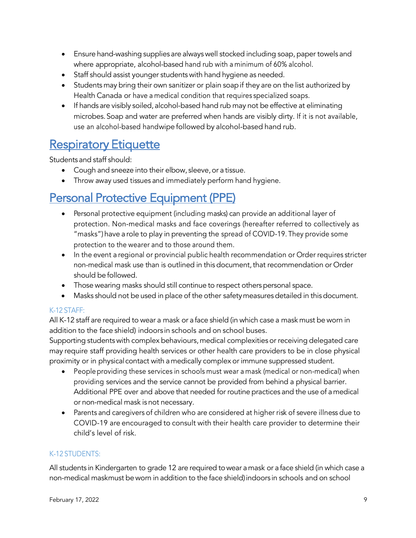- Ensure hand-washing supplies are always well stocked including soap, paper towels and where appropriate, alcohol-based hand rub with a minimum of 60% alcohol.
- Staff should assist younger students with hand hygiene as needed.
- Students may bring their own sanitizer or plain soapif they are on the list authorized by Health Canada or have a medical condition that requires specialized soaps.
- If hands are visibly soiled, alcohol-based hand rub may not be effective at eliminating microbes.Soap and water are preferred when hands are visibly dirty. If it is not available, use an alcohol-based handwipe followed by alcohol-based hand rub.

# **Respiratory Etiquette**

Students and staff should:

- Cough and sneeze into their elbow, sleeve, or a tissue.
- Throw away used tissues and immediately perform hand hygiene.

# Personal Protective Equipment (PPE)

- Personal protective equipment (including masks) can provide an additional layer of protection. Non-medical masks and face coverings (hereafter referred to collectively as "masks") have a role to play in preventing the spread of COVID-19. They provide some protection to the wearer and to those around them.
- In the event a regional or provincial public health recommendation or Order requires stricter non-medical mask use than is outlined in this document, that recommendation or Order should be followed.
- Those wearing masks should still continue to respect others personal space.
- Masks should not be used in place of the other safetymeasures detailed in this document.

### K-12 STAFF:

All K-12 staff are required to wear a mask or a face shield (in which case a mask must be worn in addition to the face shield) indoors in schools and on school buses.

Supporting students with complex behaviours, medical complexities or receiving delegated care may require staff providing health services or other health care providers to be in close physical proximity or in physical contact with amedically complex or immune suppressed student.

- People providing these services in schools must wear a mask (medical or non-medical) when providing services and the service cannot be provided from behind a physical barrier. Additional PPE over and above that needed for routine practices and the use of amedical or non-medical mask is not necessary.
- Parents and caregivers of children who are considered at higher risk of severe illness due to COVID-19 are encouraged to consult with their health care provider to determine their child's level of risk.

### K-12 STUDENTS:

All students in Kindergarten to grade 12 are required towear amask or a face shield (in which case a non-medical maskmust be worn in addition to the face shield)indoors in schools and on school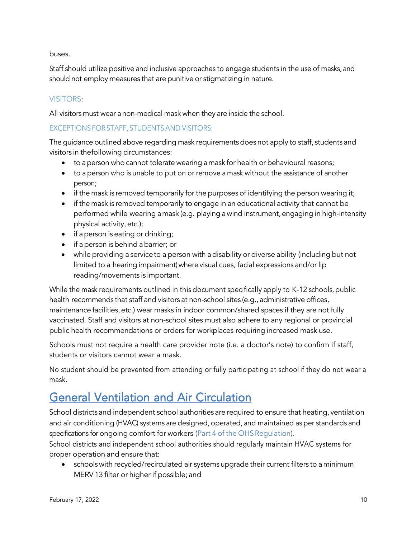buses.

Staff should utilize positive and inclusive approaches to engage students in the use of masks, and should not employ measures that are punitive or stigmatizing in nature.

### VISITORS:

All visitors must wear anon-medical mask when they are inside the school.

### EXCEPTIONSFORSTAFF, STUDENTSAND VISITORS:

The guidance outlined above regarding mask requirements does not apply to staff, students and visitors in thefollowing circumstances:

- to aperson who cannot tolerate wearing amask for health or behavioural reasons;
- to a person who is unable to put on or remove a mask without the assistance of another person;
- if the mask is removed temporarily for the purposes of identifying the person wearing it;
- if the mask is removed temporarily to engage in an educational activity that cannot be performed while wearing amask (e.g. playing awind instrument,engaging in high-intensity physical activity, etc.);
- if a person is eating or drinking;
- if aperson is behind abarrier; or
- while providing a service to a person with a disability or diverse ability (including but not limited to a hearing impairment) where visual cues, facial expressions and/or lip reading/movements is important.

While the mask requirements outlined in this document specifically apply to K-12 schools, public health recommends that staff and visitors at non-school sites (e.g., administrative offices, maintenance facilities,etc.) wear masks in indoor common/shared spaces if they are not fully vaccinated. Staff and visitors at non-school sites must also adhere to any regional or provincial public health recommendations or orders for workplaces requiring increased mask use.

Schools must not require a health care provider note (i.e. a doctor's note) to confirm if staff, students or visitors cannot wear a mask.

No student should be prevented from attending or fully participating at school if they do not wear a mask.

# General Ventilation and Air Circulation

School districts and independent school authorities are required to ensure that heating, ventilation and air conditioning (HVAC) systems are designed, operated, and maintained as per standards and specifications for ongoing comfort for workers (Part 4 of the OHS Regulation).

School districts and independent school authorities should regularly maintain HVAC systems for proper operation and ensure that:

• schools with recycled/recirculated air systems upgrade their current filters to aminimum MERV13 filter or higher if possible; and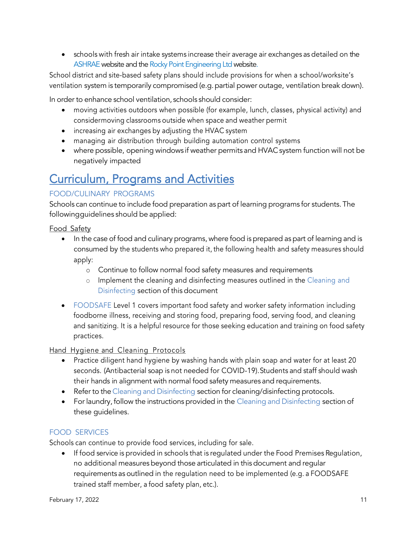• schools with fresh air intake systems increase their average air exchanges as detailed on the ASHRAE website and the Rocky Point Engineering Ltd website.

School district and site-based safety plans should include provisions for when a school/worksite's ventilation system is temporarily compromised (e.g. partial power outage, ventilation break down).

In order to enhance school ventilation, schools should consider:

- moving activities outdoors when possible (for example, lunch, classes, physical activity) and considermoving classrooms outside when space and weather permit
- increasing air exchanges by adjusting the HVAC system
- managing air distribution through building automation control systems
- where possible, opening windows if weather permits and HVAC system function will not be negatively impacted

# Curriculum, Programs and Activities

### FOOD/CULINARY PROGRAMS

Schools can continue to include food preparation as part of learning programs for students. The followingguidelines should be applied:

Food Safety

- In the case of food and culinary programs, where food is prepared as part of learning and is consumed by the students who prepared it, the following health and safety measures should apply:
	- o Continue to follow normal food safety measures and requirements
	- o Implement the cleaning and disinfecting measures outlined in the Cleaning and Disinfecting section of this document
- FOODSAFE Level 1 covers important food safety and worker safety information including foodborne illness, receiving and storing food, preparing food, serving food, and cleaning and sanitizing. It is a helpful resource for those seeking education and training on food safety practices.

Hand Hygiene and Cleaning Protocols

- Practice diligent hand hygiene by washing hands with plain soap and water for at least 20 seconds. (Antibacterial soap is not needed for COVID-19). Students and staff should wash their hands in alignment with normal food safety measures and requirements.
- Refer to the Cleaning and Disinfecting section for cleaning/disinfecting protocols.
- For laundry, follow the instructions provided in the Cleaning and Disinfecting section of these guidelines.

### FOOD SERVICES

Schools can continue to provide food services, including for sale.

• If food service is provided in schools that is regulated under the Food Premises Regulation, no additional measures beyond those articulated in this document and regular requirements as outlined in the regulation need to be implemented (e.g. a FOODSAFE trained staff member, a food safety plan, etc.).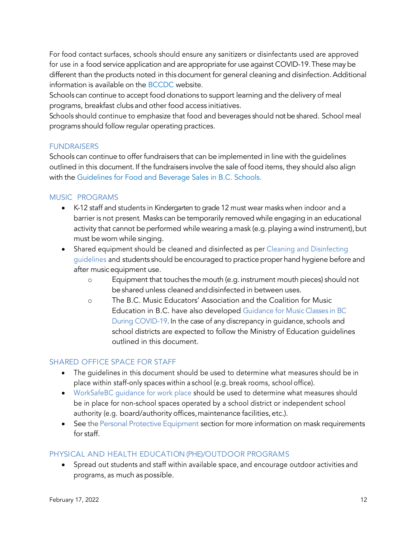For food contact surfaces, schools should ensure any sanitizers or disinfectants used are approved for use in a food service application and are appropriate for use against COVID-19.These may be different than the products noted in this document for general cleaning and disinfection.Additional information is available on the BCCDC website.

Schools can continue to accept food donations to support learning and the delivery of meal programs, breakfast clubs and other food access initiatives.

Schools should continue to emphasize that food and beverages should not be shared. School meal programs should follow regular operating practices.

#### **FUNDRAISERS**

Schools can continue to offer fundraisers that can be implemented in line with the guidelines outlined in this document. If the fundraisers involve the sale of food items, they should also align with the Guidelines for Food and Beverage Sales in B.C. Schools.

#### MUSIC PROGRAMS

- K-12 staff and students in Kindergarten to grade 12 must wear masks when indoor and a barrier is not present. Masks can be temporarily removed while engaging in an educational activity that cannot be performed while wearing a mask (e.g. playing a wind instrument), but must be worn while singing.
- Shared equipment should be cleaned and disinfected as per Cleaning and Disinfecting guidelines and students should be encouraged to practice proper hand hygiene before and after musicequipment use.
	- o Equipment that touches the mouth (e.g. instrument mouth pieces) should not be shared unless cleaned anddisinfected in between uses.
	- o The B.C. Music Educators' Association and the Coalition for Music Education in B.C. have also developed Guidance for Music Classes in BC During COVID-19. In the case of any discrepancy in guidance, schools and school districts are expected to follow the Ministry of Education guidelines outlined in this document.

### SHARED OFFICE SPACE FOR STAFF

- The quidelines in this document should be used to determine what measures should be in place within staff-only spaces within a school (e.g. break rooms, school office).
- WorkSafeBC guidance for work place should be used to determine what measures should be in place for non-school spaces operated by a school district or independent school authority (e.g. board/authority offices,maintenance facilities, etc.).
- See the Personal Protective Equipment section for more information on mask requirements for staff.

#### PHYSICAL AND HEALTH EDUCATION (PHE)/OUTDOOR PROGRAMS

• Spread out students and staff within available space, and encourage outdoor activities and programs, as much as possible.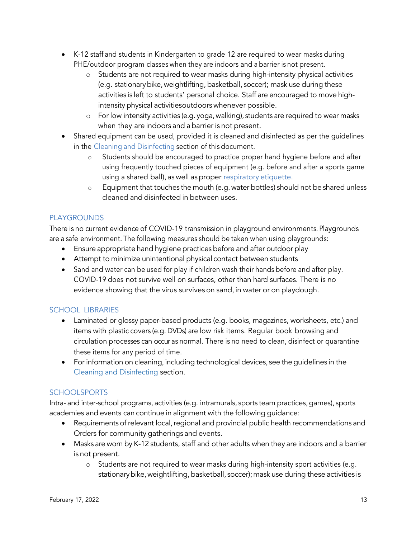- K-12 staff and students in Kindergarten to grade 12 are required to wear masks during PHE/outdoor program classes when they are indoors and a barrier is not present.
	- o Students are not required to wear masks during high-intensity physical activities (e.g. stationarybike,weightlifting, basketball, soccer); mask use during these activities is left to students' personal choice. Staff are encouraged to move highintensity physical activitiesoutdoors whenever possible.
	- o For low intensity activities (e.g. yoga, walking), students are required to wear masks when they are indoors and abarrier is not present.
- Shared equipment can be used, provided it is cleaned and disinfected as per the quidelines in the Cleaning and Disinfecting section of this document.
	- o Students should be encouraged to practice proper hand hygiene before and after using frequently touched pieces of equipment (e.g. before and after a sports game using a shared ball), as well as proper respiratory etiquette.
	- $\circ$  Equipment that touches the mouth (e.g. water bottles) should not be shared unless cleaned and disinfected in between uses.

### PLAYGROUNDS

There is no current evidence of COVID-19 transmission in playground environments. Playgrounds are a safe environment. The following measures should be taken when using playgrounds:

- Ensure appropriate hand hygiene practices before and after outdoor play
- Attempt to minimize unintentional physical contact between students
- Sand and water can be used for play if children wash their hands before and after play. COVID-19 does not survive well on surfaces, other than hard surfaces. There is no evidence showing that the virus survives on sand, in water or on playdough.

### SCHOOL LIBRARIES

- Laminated or glossy paper-based products (e.g. books, magazines, worksheets, etc.) and items with plastic covers (e.g. DVDs) are low risk items. Regular book browsing and circulation processes can occur as normal. There is no need to clean, disinfect or quarantine these items for any period of time.
- For information on cleaning, including technological devices, see the quidelines in the Cleaning and Disinfecting section.

### **SCHOOLSPORTS**

Intra- and inter-school programs, activities (e.g. intramurals, sports team practices,games), sports academies and events can continue in alignment with the following guidance:

- Requirements of relevant local, regional and provincial public health recommendations and Orders for community gatherings and events.
- Masks are worn by K-12 students, staff and other adults when they are indoors and a barrier is not present.
	- o Students are not required to wear masks during high-intensity sport activities (e.g. stationary bike, weightlifting, basketball, soccer); mask use during these activities is